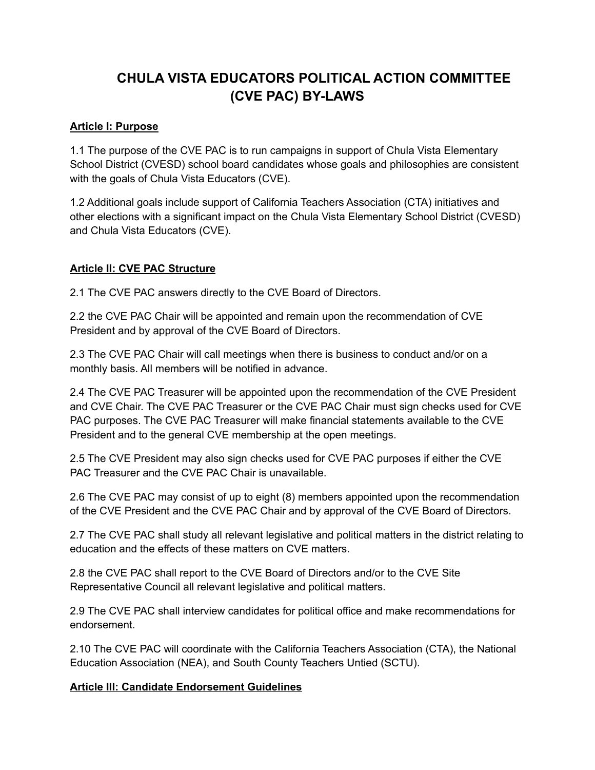# **CHULA VISTA EDUCATORS POLITICAL ACTION COMMITTEE (CVE PAC) BY-LAWS**

## **Article I: Purpose**

1.1 The purpose of the CVE PAC is to run campaigns in support of Chula Vista Elementary School District (CVESD) school board candidates whose goals and philosophies are consistent with the goals of Chula Vista Educators (CVE).

1.2 Additional goals include support of California Teachers Association (CTA) initiatives and other elections with a significant impact on the Chula Vista Elementary School District (CVESD) and Chula Vista Educators (CVE).

## **Article II: CVE PAC Structure**

2.1 The CVE PAC answers directly to the CVE Board of Directors.

2.2 the CVE PAC Chair will be appointed and remain upon the recommendation of CVE President and by approval of the CVE Board of Directors.

2.3 The CVE PAC Chair will call meetings when there is business to conduct and/or on a monthly basis. All members will be notified in advance.

2.4 The CVE PAC Treasurer will be appointed upon the recommendation of the CVE President and CVE Chair. The CVE PAC Treasurer or the CVE PAC Chair must sign checks used for CVE PAC purposes. The CVE PAC Treasurer will make financial statements available to the CVE President and to the general CVE membership at the open meetings.

2.5 The CVE President may also sign checks used for CVE PAC purposes if either the CVE PAC Treasurer and the CVE PAC Chair is unavailable.

2.6 The CVE PAC may consist of up to eight (8) members appointed upon the recommendation of the CVE President and the CVE PAC Chair and by approval of the CVE Board of Directors.

2.7 The CVE PAC shall study all relevant legislative and political matters in the district relating to education and the effects of these matters on CVE matters.

2.8 the CVE PAC shall report to the CVE Board of Directors and/or to the CVE Site Representative Council all relevant legislative and political matters.

2.9 The CVE PAC shall interview candidates for political office and make recommendations for endorsement.

2.10 The CVE PAC will coordinate with the California Teachers Association (CTA), the National Education Association (NEA), and South County Teachers Untied (SCTU).

#### **Article III: Candidate Endorsement Guidelines**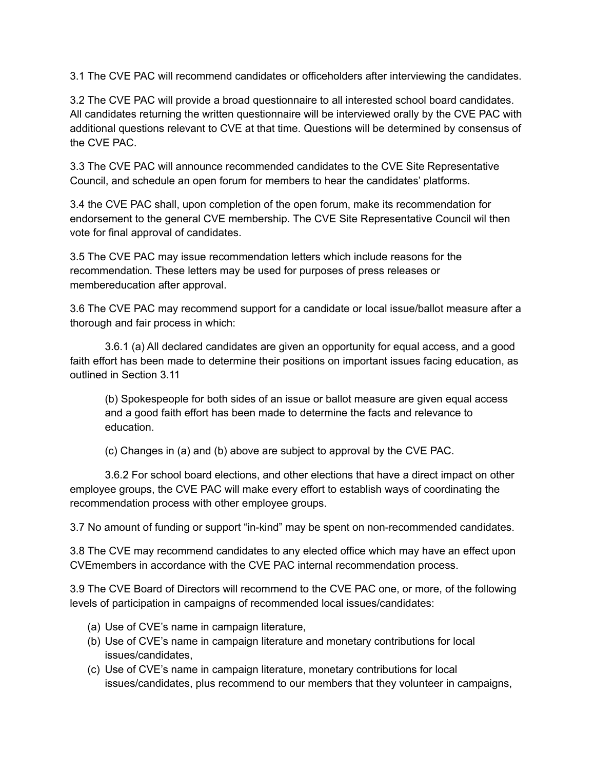3.1 The CVE PAC will recommend candidates or officeholders after interviewing the candidates.

3.2 The CVE PAC will provide a broad questionnaire to all interested school board candidates. All candidates returning the written questionnaire will be interviewed orally by the CVE PAC with additional questions relevant to CVE at that time. Questions will be determined by consensus of the CVE PAC.

3.3 The CVE PAC will announce recommended candidates to the CVE Site Representative Council, and schedule an open forum for members to hear the candidates' platforms.

3.4 the CVE PAC shall, upon completion of the open forum, make its recommendation for endorsement to the general CVE membership. The CVE Site Representative Council wil then vote for final approval of candidates.

3.5 The CVE PAC may issue recommendation letters which include reasons for the recommendation. These letters may be used for purposes of press releases or membereducation after approval.

3.6 The CVE PAC may recommend support for a candidate or local issue/ballot measure after a thorough and fair process in which:

3.6.1 (a) All declared candidates are given an opportunity for equal access, and a good faith effort has been made to determine their positions on important issues facing education, as outlined in Section 3.11

(b) Spokespeople for both sides of an issue or ballot measure are given equal access and a good faith effort has been made to determine the facts and relevance to education.

(c) Changes in (a) and (b) above are subject to approval by the CVE PAC.

3.6.2 For school board elections, and other elections that have a direct impact on other employee groups, the CVE PAC will make every effort to establish ways of coordinating the recommendation process with other employee groups.

3.7 No amount of funding or support "in-kind" may be spent on non-recommended candidates.

3.8 The CVE may recommend candidates to any elected office which may have an effect upon CVEmembers in accordance with the CVE PAC internal recommendation process.

3.9 The CVE Board of Directors will recommend to the CVE PAC one, or more, of the following levels of participation in campaigns of recommended local issues/candidates:

- (a) Use of CVE's name in campaign literature,
- (b) Use of CVE's name in campaign literature and monetary contributions for local issues/candidates,
- (c) Use of CVE's name in campaign literature, monetary contributions for local issues/candidates, plus recommend to our members that they volunteer in campaigns,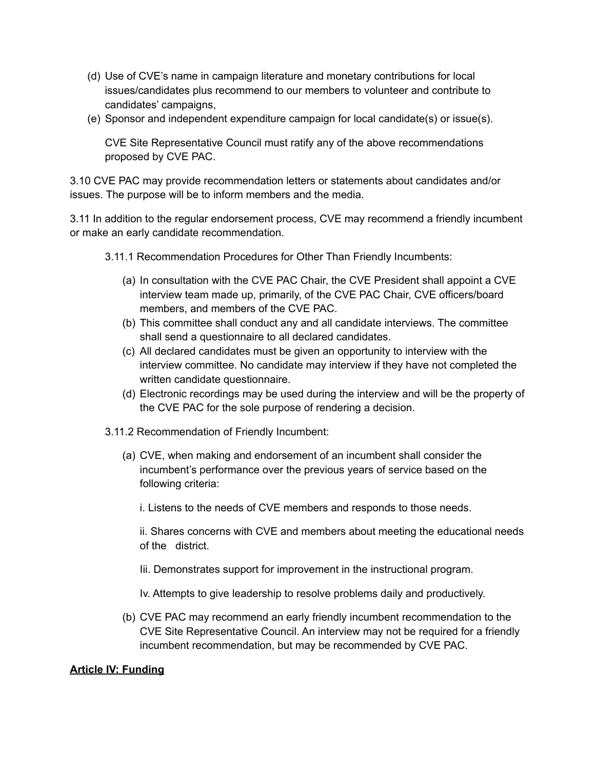- (d) Use of CVE's name in campaign literature and monetary contributions for local issues/candidates plus recommend to our members to volunteer and contribute to candidates' campaigns,
- (e) Sponsor and independent expenditure campaign for local candidate(s) or issue(s).

CVE Site Representative Council must ratify any of the above recommendations proposed by CVE PAC.

3.10 CVE PAC may provide recommendation letters or statements about candidates and/or issues. The purpose will be to inform members and the media.

3.11 In addition to the regular endorsement process, CVE may recommend a friendly incumbent or make an early candidate recommendation.

- 3.11.1 Recommendation Procedures for Other Than Friendly Incumbents:
	- (a) In consultation with the CVE PAC Chair, the CVE President shall appoint a CVE interview team made up, primarily, of the CVE PAC Chair, CVE officers/board members, and members of the CVE PAC.
	- (b) This committee shall conduct any and all candidate interviews. The committee shall send a questionnaire to all declared candidates.
	- (c) All declared candidates must be given an opportunity to interview with the interview committee. No candidate may interview if they have not completed the written candidate questionnaire.
	- (d) Electronic recordings may be used during the interview and will be the property of the CVE PAC for the sole purpose of rendering a decision.
- 3.11.2 Recommendation of Friendly Incumbent:
	- (a) CVE, when making and endorsement of an incumbent shall consider the incumbent's performance over the previous years of service based on the following criteria:
		- i. Listens to the needs of CVE members and responds to those needs.

ii. Shares concerns with CVE and members about meeting the educational needs of the district.

Iii. Demonstrates support for improvement in the instructional program.

Iv. Attempts to give leadership to resolve problems daily and productively.

(b) CVE PAC may recommend an early friendly incumbent recommendation to the CVE Site Representative Council. An interview may not be required for a friendly incumbent recommendation, but may be recommended by CVE PAC.

#### **Article IV: Funding**